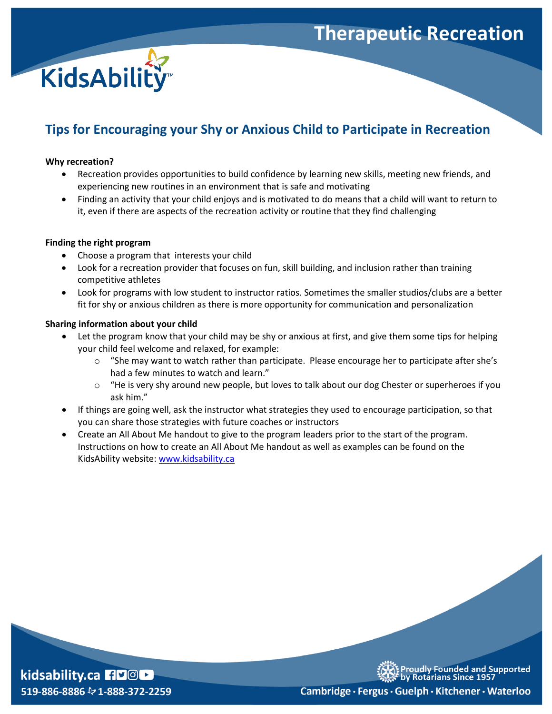## **Therapeutic Recreation**



### **Tips for Encouraging your Shy or Anxious Child to Participate in Recreation**

#### **Why recreation?**

- Recreation provides opportunities to build confidence by learning new skills, meeting new friends, and experiencing new routines in an environment that is safe and motivating
- Finding an activity that your child enjoys and is motivated to do means that a child will want to return to it, even if there are aspects of the recreation activity or routine that they find challenging

#### **Finding the right program**

- Choose a program that interests your child
- Look for a recreation provider that focuses on fun, skill building, and inclusion rather than training competitive athletes
- Look for programs with low student to instructor ratios. Sometimes the smaller studios/clubs are a better fit for shy or anxious children as there is more opportunity for communication and personalization

#### **Sharing information about your child**

- Let the program know that your child may be shy or anxious at first, and give them some tips for helping your child feel welcome and relaxed, for example:
	- $\circ$  "She may want to watch rather than participate. Please encourage her to participate after she's had a few minutes to watch and learn."
	- $\circ$  "He is very shy around new people, but loves to talk about our dog Chester or superheroes if you ask him."
- If things are going well, ask the instructor what strategies they used to encourage participation, so that you can share those strategies with future coaches or instructors
- Create an All About Me handout to give to the program leaders prior to the start of the program. Instructions on how to create an All About Me handout as well as examples can be found on the KidsAbility website: [www.kidsability.ca](http://www.kidsability.ca/)



oudly Founded and Supported **Rotarians Since 1957** 

Cambridge · Fergus · Guelph · Kitchener · Waterloo